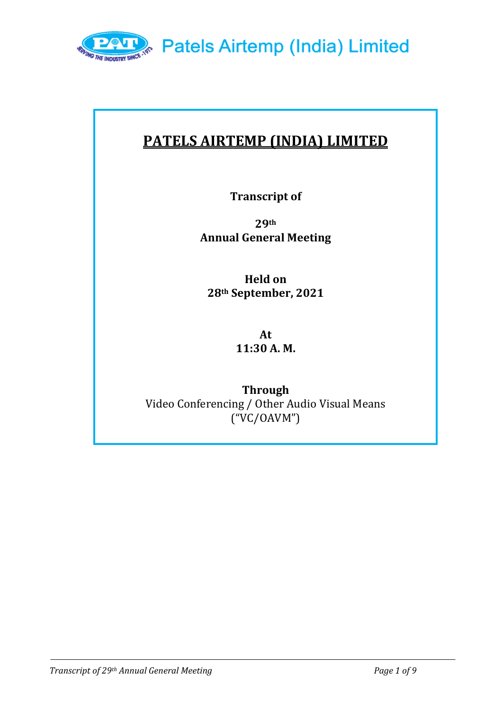

# **PATELS AIRTEMP (INDIA) LIMITED**

**Transcript of**

**29th Annual General Meeting** 

**Held on 28th September, 2021**

> **At 11:30 A. M.**

**Through**  Video Conferencing / Other Audio Visual Means ("VC/OAVM")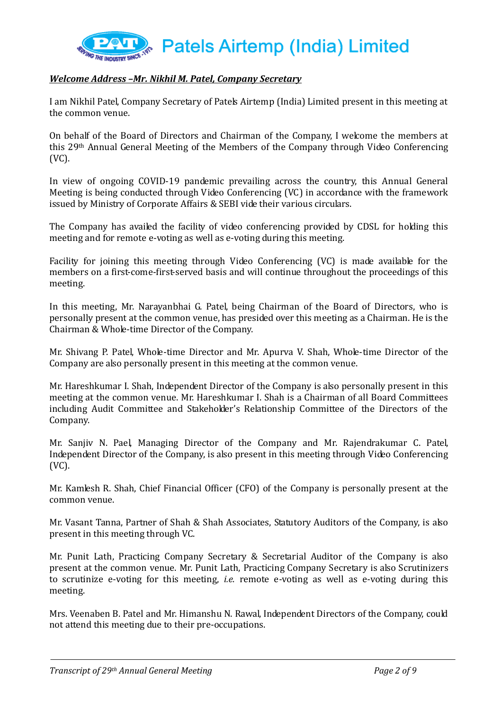

# *Welcome Address –Mr. Nikhil M. Patel, Company Secretary*

I am Nikhil Patel, Company Secretary of Patels Airtemp (India) Limited present in this meeting at the common venue.

On behalf of the Board of Directors and Chairman of the Company, I welcome the members at this 29th Annual General Meeting of the Members of the Company through Video Conferencing (VC).

In view of ongoing COVID-19 pandemic prevailing across the country, this Annual General Meeting is being conducted through Video Conferencing (VC) in accordance with the framework issued by Ministry of Corporate Affairs & SEBI vide their various circulars.

The Company has availed the facility of video conferencing provided by CDSL for holding this meeting and for remote e-voting as well as e-voting during this meeting.

Facility for joining this meeting through Video Conferencing (VC) is made available for the members on a first-come-first-served basis and will continue throughout the proceedings of this meeting.

In this meeting, Mr. Narayanbhai G. Patel, being Chairman of the Board of Directors, who is personally present at the common venue, has presided over this meeting as a Chairman. He is the Chairman & Whole-time Director of the Company.

Mr. Shivang P. Patel, Whole-time Director and Mr. Apurva V. Shah, Whole-time Director of the Company are also personally present in this meeting at the common venue.

Mr. Hareshkumar I. Shah, Independent Director of the Company is also personally present in this meeting at the common venue. Mr. Hareshkumar I. Shah is a Chairman of all Board Committees including Audit Committee and Stakeholder's Relationship Committee of the Directors of the Company.

Mr. Sanjiv N. Pael, Managing Director of the Company and Mr. Rajendrakumar C. Patel, Independent Director of the Company, is also present in this meeting through Video Conferencing (VC).

Mr. Kamlesh R. Shah, Chief Financial Officer (CFO) of the Company is personally present at the common venue.

Mr. Vasant Tanna, Partner of Shah & Shah Associates, Statutory Auditors of the Company, is also present in this meeting through VC.

Mr. Punit Lath, Practicing Company Secretary & Secretarial Auditor of the Company is also present at the common venue. Mr. Punit Lath, Practicing Company Secretary is also Scrutinizers to scrutinize e-voting for this meeting, *i.e.* remote e-voting as well as e-voting during this meeting.

Mrs. Veenaben B. Patel and Mr. Himanshu N. Rawal, Independent Directors of the Company, could not attend this meeting due to their pre-occupations.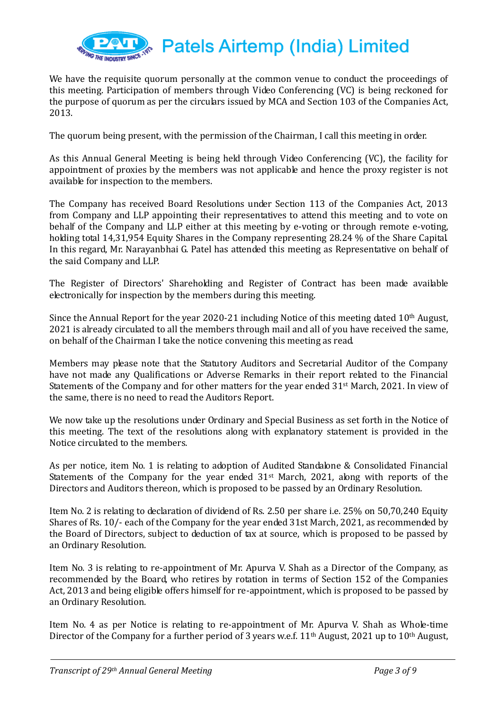

We have the requisite quorum personally at the common venue to conduct the proceedings of this meeting. Participation of members through Video Conferencing (VC) is being reckoned for the purpose of quorum as per the circulars issued by MCA and Section 103 of the Companies Act, 2013.

The quorum being present, with the permission of the Chairman, I call this meeting in order.

As this Annual General Meeting is being held through Video Conferencing (VC), the facility for appointment of proxies by the members was not applicable and hence the proxy register is not available for inspection to the members.

The Company has received Board Resolutions under Section 113 of the Companies Act, 2013 from Company and LLP appointing their representatives to attend this meeting and to vote on behalf of the Company and LLP either at this meeting by e-voting or through remote e-voting, holding total 14,31,954 Equity Shares in the Company representing 28.24 % of the Share Capital. In this regard, Mr. Narayanbhai G. Patel has attended this meeting as Representative on behalf of the said Company and LLP.

The Register of Directors' Shareholding and Register of Contract has been made available electronically for inspection by the members during this meeting.

Since the Annual Report for the year 2020-21 including Notice of this meeting dated 10<sup>th</sup> August, 2021 is already circulated to all the members through mail and all of you have received the same, on behalf of the Chairman I take the notice convening this meeting as read.

Members may please note that the Statutory Auditors and Secretarial Auditor of the Company have not made any Qualifications or Adverse Remarks in their report related to the Financial Statements of the Company and for other matters for the year ended 31st March, 2021. In view of the same, there is no need to read the Auditors Report.

We now take up the resolutions under Ordinary and Special Business as set forth in the Notice of this meeting. The text of the resolutions along with explanatory statement is provided in the Notice circulated to the members.

As per notice, item No. 1 is relating to adoption of Audited Standalone & Consolidated Financial Statements of the Company for the year ended  $31<sup>st</sup>$  March, 2021, along with reports of the Directors and Auditors thereon, which is proposed to be passed by an Ordinary Resolution.

Item No. 2 is relating to declaration of dividend of Rs. 2.50 per share i.e. 25% on 50,70,240 Equity Shares of Rs. 10/- each of the Company for the year ended 31st March, 2021, as recommended by the Board of Directors, subject to deduction of tax at source, which is proposed to be passed by an Ordinary Resolution.

Item No. 3 is relating to re-appointment of Mr. Apurva V. Shah as a Director of the Company, as recommended by the Board, who retires by rotation in terms of Section 152 of the Companies Act, 2013 and being eligible offers himself for re-appointment, which is proposed to be passed by an Ordinary Resolution.

Item No. 4 as per Notice is relating to re-appointment of Mr. Apurva V. Shah as Whole-time Director of the Company for a further period of 3 years w.e.f.  $11<sup>th</sup>$  August, 2021 up to  $10<sup>th</sup>$  August,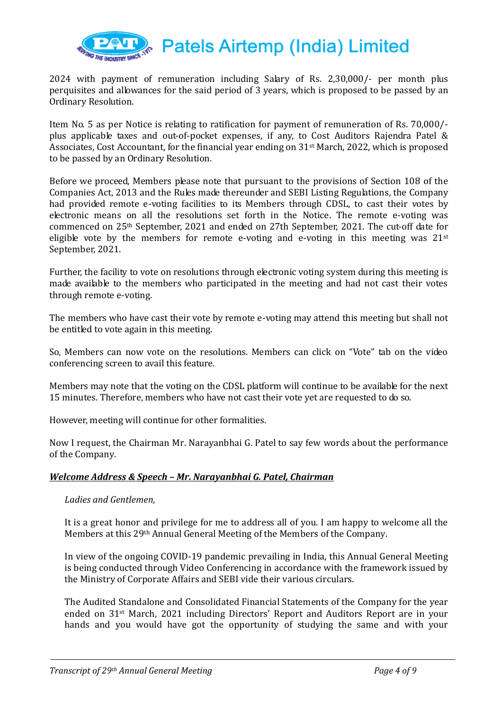

2024 with payment of remuneration including Salary of Rs. 2,30,000/- per month plus perquisites and allowances for the said period of 3 years, which is proposed to be passed by an Ordinary Resolution.

Item No. 5 as per Notice is relating to ratification for payment of remuneration of Rs. 70,000/ plus applicable taxes and out-of-pocket expenses, if any, to Cost Auditors Rajendra Patel & Associates, Cost Accountant, for the financial year ending on 31st March, 2022, which is proposed to be passed by an Ordinary Resolution.

Before we proceed, Members please note that pursuant to the provisions of Section 108 of the Companies Act, 2013 and the Rules made thereunder and SEBI Listing Regulations, the Company had provided remote e-voting facilities to its Members through CDSL, to cast their votes by electronic means on all the resolutions set forth in the Notice. The remote e-voting was commenced on 25th September, 2021 and ended on 27th September, 2021. The cut-off date for eligible vote by the members for remote e-voting and e-voting in this meeting was  $21^{st}$ September, 2021.

Further, the facility to vote on resolutions through electronic voting system during this meeting is made available to the members who participated in the meeting and had not cast their votes through remote e-voting.

The members who have cast their vote by remote e-voting may attend this meeting but shall not be entitled to vote again in this meeting.

So, Members can now vote on the resolutions. Members can click on "Vote" tab on the video conferencing screen to avail this feature.

Members may note that the voting on the CDSL platform will continue to be available for the next 15 minutes. Therefore, members who have not cast their vote yet are requested to do so.

However, meeting will continue for other formalities.

Now I request, the Chairman Mr. Narayanbhai G. Patel to say few words about the performance of the Company.

## *Welcome Address & Speech – Mr. Narayanbhai G. Patel, Chairman*

## *Ladies and Gentlemen,*

It is a great honor and privilege for me to address all of you. I am happy to welcome all the Members at this 29th Annual General Meeting of the Members of the Company.

In view of the ongoing COVID-19 pandemic prevailing in India, this Annual General Meeting is being conducted through Video Conferencing in accordance with the framework issued by the Ministry of Corporate Affairs and SEBI vide their various circulars.

The Audited Standalone and Consolidated Financial Statements of the Company for the year ended on 31st March, 2021 including Directors' Report and Auditors Report are in your hands and you would have got the opportunity of studying the same and with your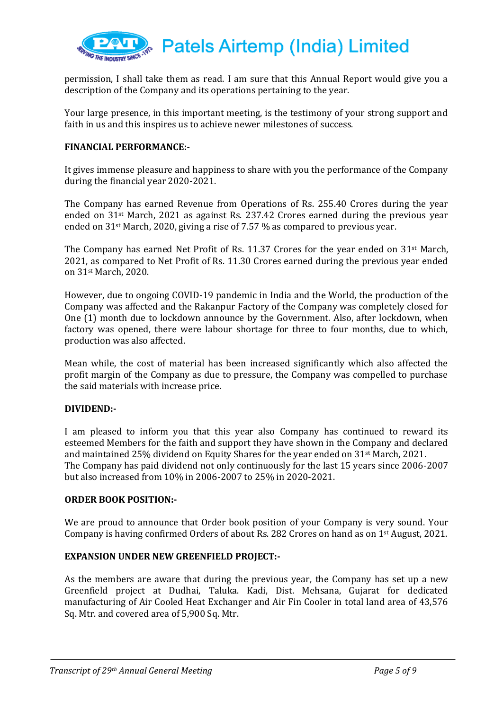

permission, I shall take them as read. I am sure that this Annual Report would give you a description of the Company and its operations pertaining to the year.

Your large presence, in this important meeting, is the testimony of your strong support and faith in us and this inspires us to achieve newer milestones of success.

## **FINANCIAL PERFORMANCE:-**

It gives immense pleasure and happiness to share with you the performance of the Company during the financial year 2020-2021.

The Company has earned Revenue from Operations of Rs. 255.40 Crores during the year ended on  $31<sup>st</sup>$  March, 2021 as against Rs. 237.42 Crores earned during the previous year ended on  $31<sup>st</sup>$  March, 2020, giving a rise of 7.57 % as compared to previous year.

The Company has earned Net Profit of Rs. 11.37 Crores for the year ended on 31st March, 2021, as compared to Net Profit of Rs. 11.30 Crores earned during the previous year ended on 31st March, 2020.

However, due to ongoing COVID-19 pandemic in India and the World, the production of the Company was affected and the Rakanpur Factory of the Company was completely closed for One (1) month due to lockdown announce by the Government. Also, after lockdown, when factory was opened, there were labour shortage for three to four months, due to which, production was also affected.

Mean while, the cost of material has been increased significantly which also affected the profit margin of the Company as due to pressure, the Company was compelled to purchase the said materials with increase price.

#### **DIVIDEND:-**

I am pleased to inform you that this year also Company has continued to reward its esteemed Members for the faith and support they have shown in the Company and declared and maintained 25% dividend on Equity Shares for the year ended on 31st March, 2021. The Company has paid dividend not only continuously for the last 15 years since 2006-2007 but also increased from 10% in 2006-2007 to 25% in 2020-2021.

#### **ORDER BOOK POSITION:-**

We are proud to announce that Order book position of your Company is very sound. Your Company is having confirmed Orders of about Rs. 282 Crores on hand as on  $1<sup>st</sup>$  August, 2021.

#### **EXPANSION UNDER NEW GREENFIELD PROJECT:-**

As the members are aware that during the previous year, the Company has set up a new Greenfield project at Dudhai, Taluka. Kadi, Dist. Mehsana, Gujarat for dedicated manufacturing of Air Cooled Heat Exchanger and Air Fin Cooler in total land area of 43,576 Sq. Mtr. and covered area of 5,900 Sq. Mtr.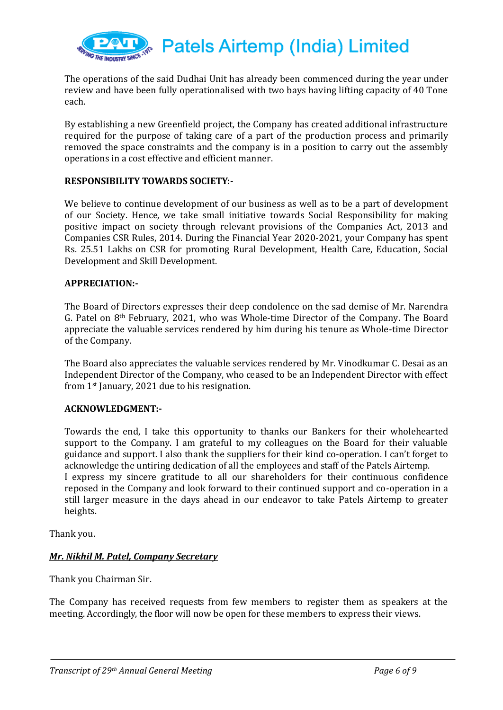

The operations of the said Dudhai Unit has already been commenced during the year under review and have been fully operationalised with two bays having lifting capacity of 40 Tone each.

By establishing a new Greenfield project, the Company has created additional infrastructure required for the purpose of taking care of a part of the production process and primarily removed the space constraints and the company is in a position to carry out the assembly operations in a cost effective and efficient manner.

#### **RESPONSIBILITY TOWARDS SOCIETY:-**

We believe to continue development of our business as well as to be a part of development of our Society. Hence, we take small initiative towards Social Responsibility for making positive impact on society through relevant provisions of the Companies Act, 2013 and Companies CSR Rules, 2014. During the Financial Year 2020-2021, your Company has spent Rs. 25.51 Lakhs on CSR for promoting Rural Development, Health Care, Education, Social Development and Skill Development.

#### **APPRECIATION:-**

The Board of Directors expresses their deep condolence on the sad demise of Mr. Narendra G. Patel on 8th February, 2021, who was Whole-time Director of the Company. The Board appreciate the valuable services rendered by him during his tenure as Whole-time Director of the Company.

The Board also appreciates the valuable services rendered by Mr. Vinodkumar C. Desai as an Independent Director of the Company, who ceased to be an Independent Director with effect from 1st January, 2021 due to his resignation.

#### **ACKNOWLEDGMENT:-**

Towards the end, I take this opportunity to thanks our Bankers for their wholehearted support to the Company. I am grateful to my colleagues on the Board for their valuable guidance and support. I also thank the suppliers for their kind co-operation. I can't forget to acknowledge the untiring dedication of all the employees and staff of the Patels Airtemp. I express my sincere gratitude to all our shareholders for their continuous confidence reposed in the Company and look forward to their continued support and co-operation in a still larger measure in the days ahead in our endeavor to take Patels Airtemp to greater heights.

Thank you.

#### *Mr. Nikhil M. Patel, Company Secretary*

Thank you Chairman Sir.

The Company has received requests from few members to register them as speakers at the meeting. Accordingly, the floor will now be open for these members to express their views.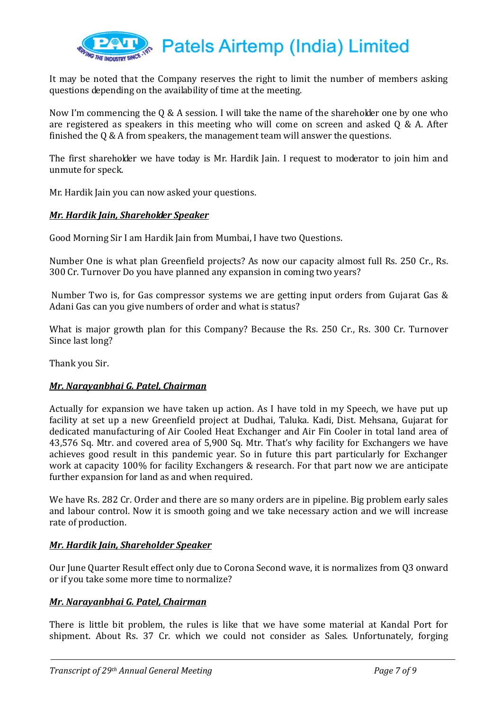

It may be noted that the Company reserves the right to limit the number of members asking questions depending on the availability of time at the meeting.

Now I'm commencing the Q & A session. I will take the name of the shareholder one by one who are registered as speakers in this meeting who will come on screen and asked Q & A. After finished the Q & A from speakers, the management team will answer the questions.

The first shareholder we have today is Mr. Hardik Jain. I request to moderator to join him and unmute for speck.

Mr. Hardik Jain you can now asked your questions.

## *Mr. Hardik Jain, Shareholder Speaker*

Good Morning Sir I am Hardik Jain from Mumbai, I have two Questions.

Number One is what plan Greenfield projects? As now our capacity almost full Rs. 250 Cr., Rs. 300 Cr. Turnover Do you have planned any expansion in coming two years?

Number Two is, for Gas compressor systems we are getting input orders from Gujarat Gas & Adani Gas can you give numbers of order and what is status?

What is major growth plan for this Company? Because the Rs. 250 Cr., Rs. 300 Cr. Turnover Since last long?

Thank you Sir.

#### *Mr. Narayanbhai G. Patel, Chairman*

Actually for expansion we have taken up action. As I have told in my Speech, we have put up facility at set up a new Greenfield project at Dudhai, Taluka. Kadi, Dist. Mehsana, Gujarat for dedicated manufacturing of Air Cooled Heat Exchanger and Air Fin Cooler in total land area of 43,576 Sq. Mtr. and covered area of 5,900 Sq. Mtr. That's why facility for Exchangers we have achieves good result in this pandemic year. So in future this part particularly for Exchanger work at capacity 100% for facility Exchangers & research. For that part now we are anticipate further expansion for land as and when required.

We have Rs. 282 Cr. Order and there are so many orders are in pipeline. Big problem early sales and labour control. Now it is smooth going and we take necessary action and we will increase rate of production.

#### *Mr. Hardik Jain, Shareholder Speaker*

Our June Quarter Result effect only due to Corona Second wave, it is normalizes from Q3 onward or if you take some more time to normalize?

#### *Mr. Narayanbhai G. Patel, Chairman*

There is little bit problem, the rules is like that we have some material at Kandal Port for shipment. About Rs. 37 Cr. which we could not consider as Sales. Unfortunately, forging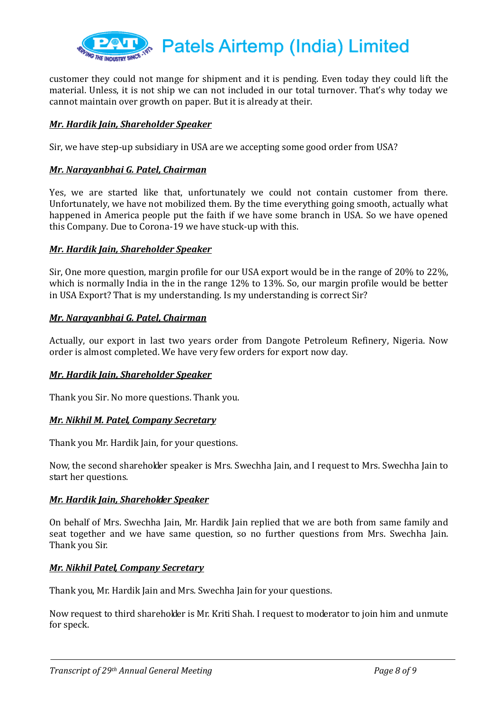

customer they could not mange for shipment and it is pending. Even today they could lift the material. Unless, it is not ship we can not included in our total turnover. That's why today we cannot maintain over growth on paper. But it is already at their.

## *Mr. Hardik Jain, Shareholder Speaker*

Sir, we have step-up subsidiary in USA are we accepting some good order from USA?

#### *Mr. Narayanbhai G. Patel, Chairman*

Yes, we are started like that, unfortunately we could not contain customer from there. Unfortunately, we have not mobilized them. By the time everything going smooth, actually what happened in America people put the faith if we have some branch in USA. So we have opened this Company. Due to Corona-19 we have stuck-up with this.

#### *Mr. Hardik Jain, Shareholder Speaker*

Sir, One more question, margin profile for our USA export would be in the range of 20% to 22%, which is normally India in the in the range 12% to 13%. So, our margin profile would be better in USA Export? That is my understanding. Is my understanding is correct Sir?

#### *Mr. Narayanbhai G. Patel, Chairman*

Actually, our export in last two years order from Dangote Petroleum Refinery, Nigeria. Now order is almost completed. We have very few orders for export now day.

#### *Mr. Hardik Jain, Shareholder Speaker*

Thank you Sir. No more questions. Thank you.

#### *Mr. Nikhil M. Patel, Company Secretary*

Thank you Mr. Hardik Jain, for your questions.

Now, the second shareholder speaker is Mrs. Swechha Jain, and I request to Mrs. Swechha Jain to start her questions.

#### *Mr. Hardik Jain, Shareholder Speaker*

On behalf of Mrs. Swechha Jain, Mr. Hardik Jain replied that we are both from same family and seat together and we have same question, so no further questions from Mrs. Swechha Jain. Thank you Sir.

#### *Mr. Nikhil Patel, Company Secretary*

Thank you, Mr. Hardik Jain and Mrs. Swechha Jain for your questions.

Now request to third shareholder is Mr. Kriti Shah. I request to moderator to join him and unmute for speck.